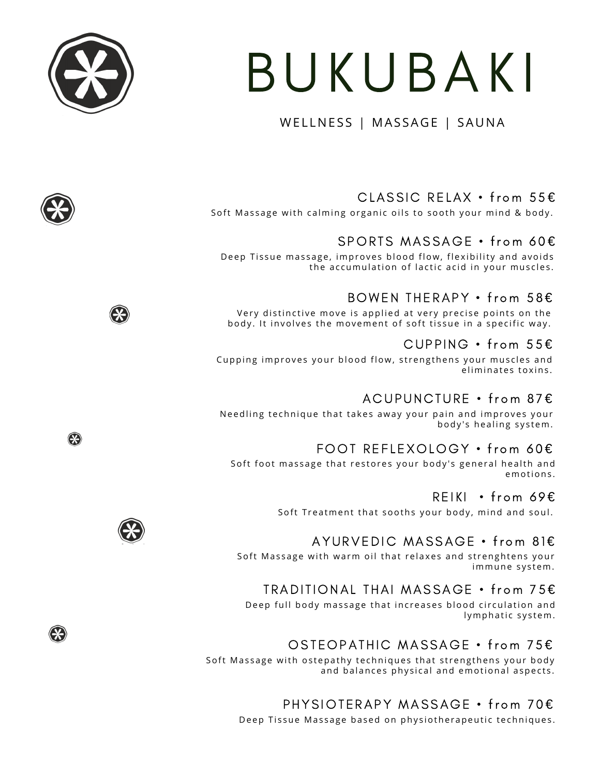# BUKUBAKI

#### WELLNESS | MASSAGE | SAUNA

## CLASSIC RELAX • from 55€

Soft Massage with calming organic oils to sooth your mind & body.

## SPORTS MASSAGE • from 60€

Deep Tissue massage, improves blood flow, flexibility and avoids the accumulation of lactic acid in your muscles.

## BOWEN THERAPY • from 58€

Very distinctive move is applied at very precise points on the body. It involves the movement of soft tissue in a specific way.

### CUPPING  $\cdot$  from 55 $\epsilon$

Cupping improves your blood flow, strengthens your muscles and eliminates toxins.

## ACUPUNCTURE • from 87€

Needling technique that takes away your pain and improves your body's healing system.

### FOOT REFLEXOLOGY • from 60€

Soft foot massage that restores your body's general health and emotions.

#### REIKI • from 69€

Soft Treatment that sooths your body, mind and soul.

### AYURVEDIC MASSAGE • from 81€

Soft Massage with warm oil that relaxes and strenghtens your immune system.

### TRADITIONAL THAI MASSAGE • from 75€

Deep full body massage that increases blood circulation and lymphatic system.

## OSTEOPATHIC MASSAGE • from 75€

Soft Massage with ostepathy techniques that strengthens your body and balances physical and emotional aspects.

## PHYSIOTERAPY MASSAGE • from 70€

Deep Tissue Massage based on physiotherapeutic techniques.











❀